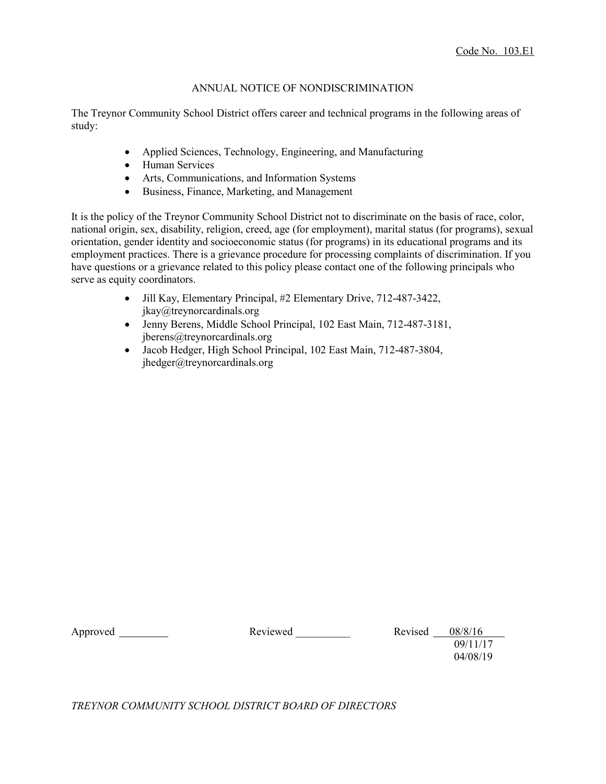## ANNUAL NOTICE OF NONDISCRIMINATION

The Treynor Community School District offers career and technical programs in the following areas of study:

- Applied Sciences, Technology, Engineering, and Manufacturing
- Human Services
- Arts, Communications, and Information Systems
- Business, Finance, Marketing, and Management

It is the policy of the Treynor Community School District not to discriminate on the basis of race, color, national origin, sex, disability, religion, creed, age (for employment), marital status (for programs), sexual orientation, gender identity and socioeconomic status (for programs) in its educational programs and its employment practices. There is a grievance procedure for processing complaints of discrimination. If you have questions or a grievance related to this policy please contact one of the following principals who serve as equity coordinators.

- Jill Kay, Elementary Principal, #2 Elementary Drive, 712-487-3422, jkay@treynorcardinals.org
- Jenny Berens, Middle School Principal, 102 East Main, 712-487-3181, jberens@treynorcardinals.org
- Jacob Hedger, High School Principal, 102 East Main, 712-487-3804, jhedger@treynorcardinals.org

Approved \_\_\_\_\_\_\_\_\_\_\_\_ Reviewed Revised Revised 08/8/16 09/11/17 04/08/19

*TREYNOR COMMUNITY SCHOOL DISTRICT BOARD OF DIRECTORS*